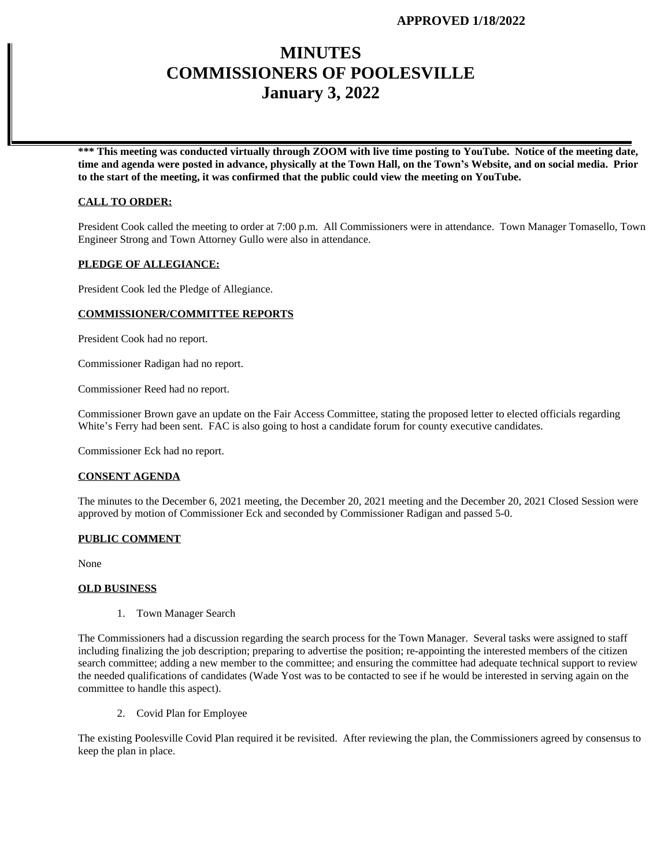# **MINUTES COMMISSIONERS OF POOLESVILLE January 3, 2022**

**\*\*\* This meeting was conducted virtually through ZOOM with live time posting to YouTube. Notice of the meeting date, time and agenda were posted in advance, physically at the Town Hall, on the Town's Website, and on social media. Prior to the start of the meeting, it was confirmed that the public could view the meeting on YouTube.**

#### **CALL TO ORDER:**

President Cook called the meeting to order at 7:00 p.m. All Commissioners were in attendance. Town Manager Tomasello, Town Engineer Strong and Town Attorney Gullo were also in attendance.

### **PLEDGE OF ALLEGIANCE:**

President Cook led the Pledge of Allegiance.

### **COMMISSIONER/COMMITTEE REPORTS**

President Cook had no report.

Commissioner Radigan had no report.

Commissioner Reed had no report.

Commissioner Brown gave an update on the Fair Access Committee, stating the proposed letter to elected officials regarding White's Ferry had been sent. FAC is also going to host a candidate forum for county executive candidates.

Commissioner Eck had no report.

#### **CONSENT AGENDA**

The minutes to the December 6, 2021 meeting, the December 20, 2021 meeting and the December 20, 2021 Closed Session were approved by motion of Commissioner Eck and seconded by Commissioner Radigan and passed 5-0.

#### **PUBLIC COMMENT**

None

#### **OLD BUSINESS**

1. Town Manager Search

The Commissioners had a discussion regarding the search process for the Town Manager. Several tasks were assigned to staff including finalizing the job description; preparing to advertise the position; re-appointing the interested members of the citizen search committee; adding a new member to the committee; and ensuring the committee had adequate technical support to review the needed qualifications of candidates (Wade Yost was to be contacted to see if he would be interested in serving again on the committee to handle this aspect).

2. Covid Plan for Employee

The existing Poolesville Covid Plan required it be revisited. After reviewing the plan, the Commissioners agreed by consensus to keep the plan in place.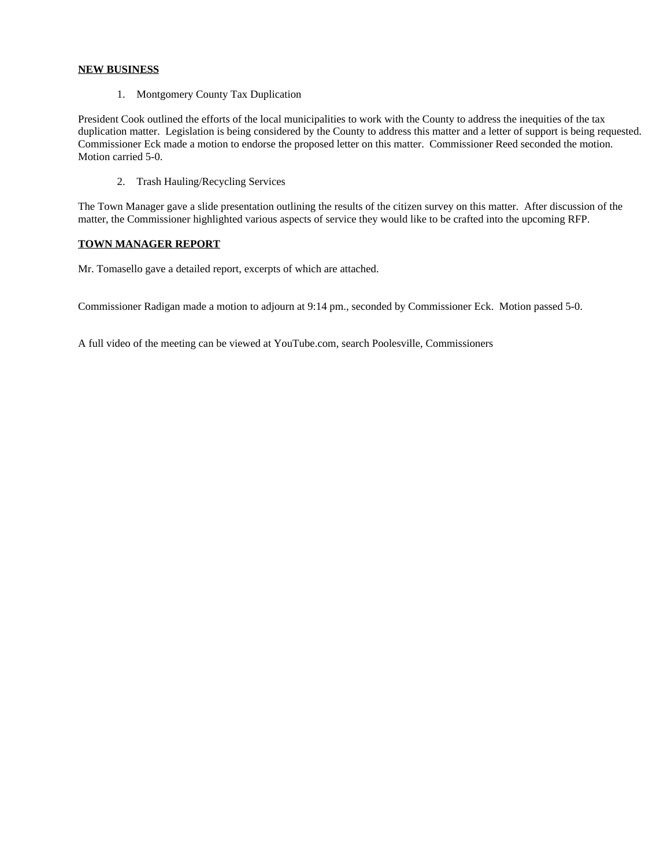### **NEW BUSINESS**

1. Montgomery County Tax Duplication

President Cook outlined the efforts of the local municipalities to work with the County to address the inequities of the tax duplication matter. Legislation is being considered by the County to address this matter and a letter of support is being requested. Commissioner Eck made a motion to endorse the proposed letter on this matter. Commissioner Reed seconded the motion. Motion carried 5-0.

2. Trash Hauling/Recycling Services

The Town Manager gave a slide presentation outlining the results of the citizen survey on this matter. After discussion of the matter, the Commissioner highlighted various aspects of service they would like to be crafted into the upcoming RFP.

## **TOWN MANAGER REPORT**

Mr. Tomasello gave a detailed report, excerpts of which are attached.

Commissioner Radigan made a motion to adjourn at 9:14 pm., seconded by Commissioner Eck. Motion passed 5-0.

A full video of the meeting can be viewed at YouTube.com, search Poolesville, Commissioners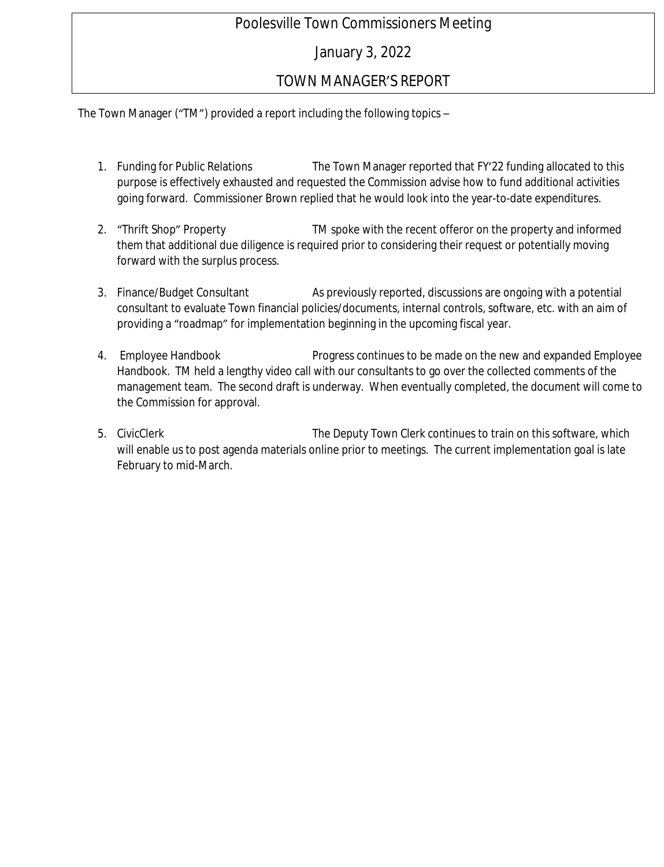# Poolesville Town Commissioners Meeting

# January 3, 2022

# TOWN MANAGER'S REPORT

The Town Manager ("TM") provided a report including the following topics –

- 1. Funding for Public Relations The Town Manager reported that FY'22 funding allocated to this purpose is effectively exhausted and requested the Commission advise how to fund additional activities going forward. Commissioner Brown replied that he would look into the year-to-date expenditures.
- 2. "Thrift Shop" Property **TM** spoke with the recent offeror on the property and informed them that additional due diligence is required prior to considering their request or potentially moving forward with the surplus process.
- 3. Finance/Budget Consultant As previously reported, discussions are ongoing with a potential consultant to evaluate Town financial policies/documents, internal controls, software, etc. with an aim of providing a "roadmap" for implementation beginning in the upcoming fiscal year.
- 4. Employee Handbook Progress continues to be made on the new and expanded Employee Handbook. TM held a lengthy video call with our consultants to go over the collected comments of the management team. The second draft is underway. When eventually completed, the document will come to the Commission for approval.
- 5. CivicClerk The Deputy Town Clerk continues to train on this software, which will enable us to post agenda materials online prior to meetings. The current implementation goal is late February to mid-March.